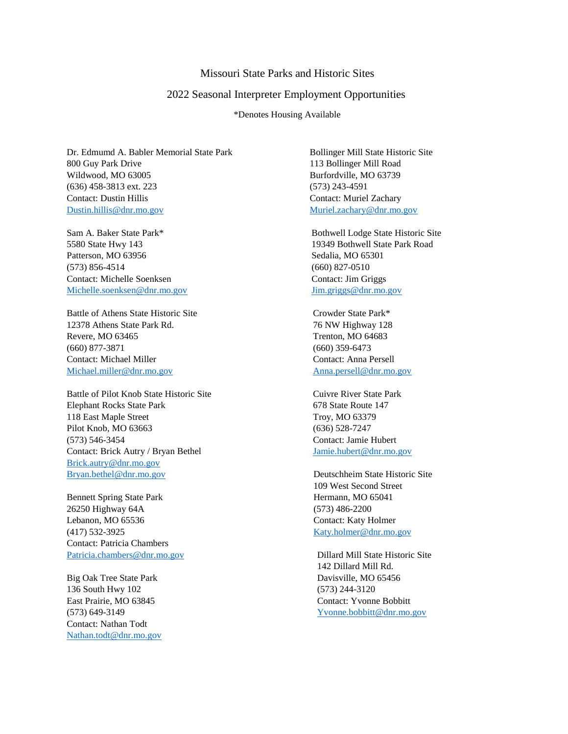## Missouri State Parks and Historic Sites

## 2022 Seasonal Interpreter Employment Opportunities

\*Denotes Housing Available

Dr. Edmumd A. Babler Memorial State Park Bollinger Mill State Historic Site 800 Guy Park Drive 113 Bollinger Mill Road Wildwood, MO 63005 Burfordville, MO 63739 (636) 458-3813 ext. 223 (573) 243-4591 Contact: Dustin Hillis Contact: Muriel Zachary [Dustin.hillis@dnr.mo.gov](mailto:Dustin.hillis@dnr.mo.gov) [Muriel.zachary@dnr.mo.gov](mailto:Muriel.zachary@dnr.mo.gov)

Patterson, MO 63956 Sedalia, MO 65301 (573) 856-4514 (660) 827-0510 Contact: Michelle Soenksen Contact: Jim Griggs [Michelle.soenksen@dnr.mo.gov](mailto:Michelle.soenksen@dnr.mo.gov) [Jim.griggs@dnr.mo.gov](mailto:Jim.griggs@dnr.mo.gov)

Battle of Athens State Historic Site Crowder State Park\* 12378 Athens State Park Rd. 76 NW Highway 128 Revere, MO 63465 Trenton, MO 64683 (660) 877-3871 (660) 359-6473 Contact: Michael Miller Contact: Anna Persell [Michael.miller@dnr.mo.gov](mailto:Michael.miller@dnr.mo.gov) [Anna.persell@dnr.mo.gov](mailto:Anna.persell@dnr.mo.gov)

Battle of Pilot Knob State Historic Site Cuivre River State Park Elephant Rocks State Park 678 State Route 147 118 East Maple Street Troy, MO 63379 Pilot Knob, MO 63663 (636) 528-7247 (573) 546-3454 Contact: Jamie Hubert Contact: Brick Autry / Bryan Bethel [Jamie.hubert@dnr.mo.gov](mailto:Jamie.hubert@dnr.mo.gov) [Brick.autry@dnr.mo.gov](mailto:Brick.autry@dnr.mo.gov) [Bryan.bethel@dnr.mo.gov](mailto:Bryan.bethel@dnr.mo.gov) Deutschheim State Historic Site

Bennett Spring State Park Hermann, MO 65041 26250 Highway 64A (573) 486-2200 Lebanon, MO 65536 Contact: Katy Holmer (417) 532-3925 [Katy.holmer@dnr.mo.gov](mailto:Katy.holmer@dnr.mo.gov) Contact: Patricia Chambers [Patricia.chambers@dnr.mo.gov](mailto:Patricia.chambers@dnr.mo.gov) Dillard Mill State Historic Site

136 South Hwy 102 (573) 244-3120 East Prairie, MO 63845 Contact: Yvonne Bobbitt Contact: Nathan Todt [Nathan.todt@dnr.mo.gov](mailto:Nathan.todt@dnr.mo.gov)

Sam A. Baker State Park\* Bothwell Lodge State Historic Site 5580 State Hwy 143 19349 Bothwell State Park Road

109 West Second Street

142 Dillard Mill Rd. Big Oak Tree State Park Davisville, MO 65456 (573) 649-3149 [Yvonne.bobbitt@dnr.mo.gov](mailto:Yvonne.bobbitt@dnr.mo.gov)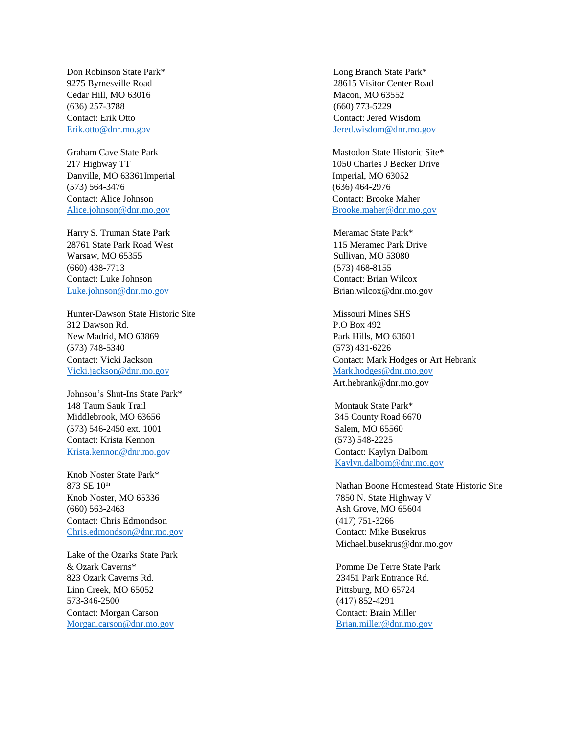Cedar Hill, MO 63016 Macon, MO 63552 (636) 257-3788 (660) 773-5229 Contact: Erik Otto Contact: Jered Wisdom

Graham Cave State Park Mastodon State Historic Site\* Danville, MO 63361Imperial Imperial Imperial, MO 63052 (573) 564-3476 (636) 464-2976 Contact: Alice Johnson Contact: Brooke Maher [Alice.johnson@dnr.mo.gov](mailto:Alice.johnson@dnr.mo.gov) [Brooke.maher@dnr.mo.gov](mailto:Brooke.maher@dnr.mo.gov)

Harry S. Truman State Park Meramac State Park Meramac State Park Meramac State Park Meramac State Park Meramac State Park Meramac State Park Meramac State Park Meramac State Park Meramac State Park Meramac State Park Meram 28761 State Park Road West 115 Meramec Park Drive Warsaw, MO 65355 Sullivan, MO 53080 (660) 438-7713 (573) 468-8155 Contact: Luke Johnson Contact: Brian Wilcox [Luke.johnson@dnr.mo.gov](mailto:Luke.johnson@dnr.mo.gov) Brian.wilcox@dnr.mo.gov

Hunter-Dawson State Historic Site Missouri Missouri Mines SHS 312 Dawson Rd. P.O Box 492 New Madrid, MO 63869 Park Hills, MO 63601 (573) 748-5340 (573) 431-6226 [Vicki.jackson@dnr.mo.gov](mailto:Vicki.jackson@dnr.mo.gov) [Mark.hodges@dnr.mo.gov](mailto:Mark.hodges@dnr.mo.gov)

Johnson's Shut-Ins State Park\* 148 Taum Sauk Trail Montauk State Park\* Middlebrook, MO 63656 345 County Road 6670 (573) 546-2450 ext. 1001 Salem, MO 65560 Contact: Krista Kennon (573) 548-2225 [Krista.kennon@dnr.mo.gov](mailto:Krista.kennon@dnr.mo.gov) Contact: Kaylyn Dalbom

Knob Noster State Park\* Knob Noster, MO 65336 7850 N. State Highway V (660) 563-2463 Ash Grove, MO 65604 Contact: Chris Edmondson (417) 751-3266 [Chris.edmondson@dnr.mo.gov](mailto:Chris.edmondson@dnr.mo.gov) Contact: Mike Busekrus

Lake of the Ozarks State Park & Ozark Caverns\* Pomme De Terre State Park 823 Ozark Caverns Rd. 23451 Park Entrance Rd. Linn Creek, MO 65052 Pittsburg, MO 65724 573-346-2500 (417) 852-4291 Contact: Morgan Carson Contact: Brain Miller [Morgan.carson@dnr.mo.gov](mailto:Morgan.carson@dnr.mo.gov) [Brian.miller@dnr.mo.gov](mailto:Brian.miller@dnr.mo.gov)

Don Robinson State Park\* Long Branch State Park\* 9275 Byrnesville Road 28615 Visitor Center Road [Erik.otto@dnr.mo.gov](mailto:Erik.otto@dnr.mo.gov) [Jered.wisdom@dnr.mo.gov](mailto:Jered.wisdom@dnr.mo.gov)

217 Highway TT 1050 Charles J Becker Drive

Contact: Vicki Jackson Contact: Mark Hodges or Art Hebrank Art.hebrank@dnr.mo.gov

[Kaylyn.dalbom@dnr.mo.gov](mailto:Kaylyn.dalbom@dnr.mo.gov)

873 SE 10<sup>th</sup> Nathan Boone Homestead State Historic Site Michael.busekrus@dnr.mo.gov